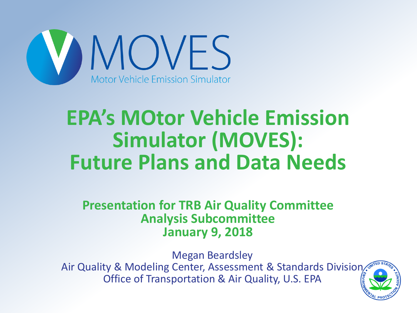

#### **EPA's MOtor Vehicle Emission Simulator (MOVES): Future Plans and Data Needs**

**Presentation for TRB Air Quality Committee Analysis Subcommittee January 9, 2018**

Megan Beardsley Air Quality & Modeling Center, Assessment & Standards Division. Office of Transportation & Air Quality, U.S. EPA

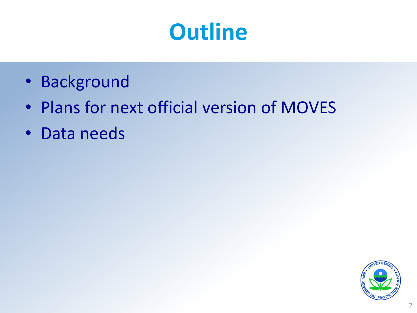#### **Outline**

- Background
- Plans for next official version of MOVES
- Data needs

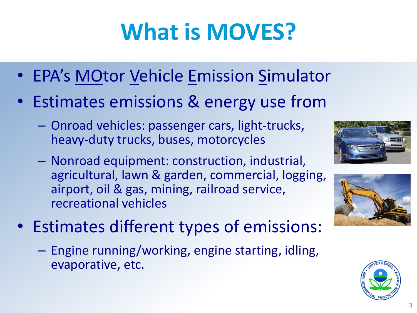## **What is MOVES?**

- EPA's MOtor Vehicle Emission Simulator
- Estimates emissions & energy use from
	- Onroad vehicles: passenger cars, light-trucks, heavy-duty trucks, buses, motorcycles
	- Nonroad equipment: construction, industrial, agricultural, lawn & garden, commercial, logging, airport, oil & gas, mining, railroad service, recreational vehicles



- Estimates different types of emissions:
	- Engine running/working, engine starting, idling, evaporative, etc.

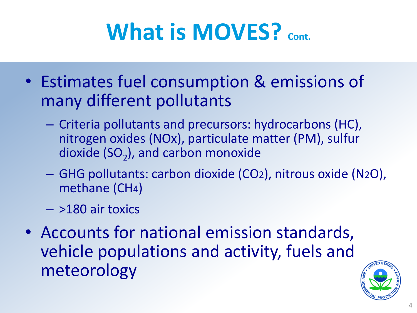## **What is MOVES?** *cont.*

- Estimates fuel consumption & emissions of many different pollutants
	- Criteria pollutants and precursors: hydrocarbons (HC), nitrogen oxides (NOx), particulate matter (PM), sulfur dioxide (SO<sub>2</sub>), and carbon monoxide
	- GHG pollutants: carbon dioxide (CO2), nitrous oxide (N2O), methane (CH4)
	- >180 air toxics
- Accounts for national emission standards, vehicle populations and activity, fuels and meteorology

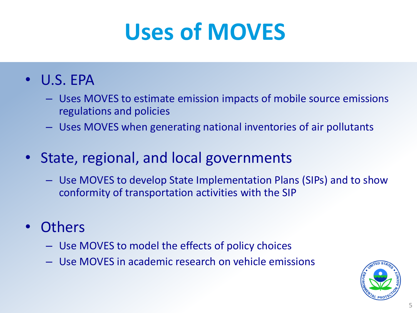## **Uses of MOVES**

#### • U.S. EPA

- Uses MOVES to estimate emission impacts of mobile source emissions regulations and policies
- Uses MOVES when generating national inventories of air pollutants
- State, regional, and local governments
	- Use MOVES to develop State Implementation Plans (SIPs) and to show conformity of transportation activities with the SIP
- **Others** 
	- Use MOVES to model the effects of policy choices
	- Use MOVES in academic research on vehicle emissions

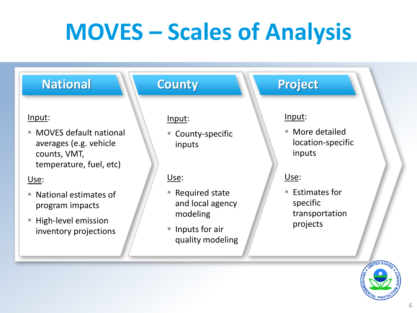## **MOVES – Scales of Analysis**

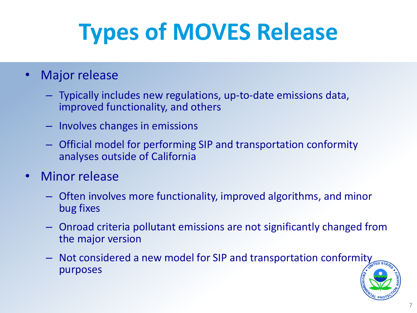# **Types of MOVES Release**

- Major release
	- Typically includes new regulations, up-to-date emissions data, improved functionality, and others
	- Involves changes in emissions
	- Official model for performing SIP and transportation conformity analyses outside of California
- Minor release
	- Often involves more functionality, improved algorithms, and minor bug fixes
	- Onroad criteria pollutant emissions are not significantly changed from the major version
	- Not considered a new model for SIP and transportation conformity purposes

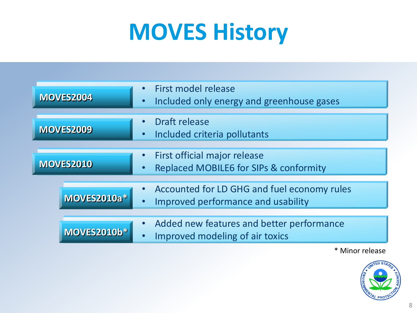## **MOVES History**

| <b>MOVES2004</b>   | <b>First model release</b><br>Included only energy and greenhouse gases                  |
|--------------------|------------------------------------------------------------------------------------------|
| <b>MOVES2009</b>   | Draft release<br>Included criteria pollutants<br>$\bullet$                               |
| <b>MOVES2010</b>   | <b>First official major release</b><br><b>Replaced MOBILE6 for SIPs &amp; conformity</b> |
| MOVES2010a*        | Accounted for LD GHG and fuel economy rules<br>Improved performance and usability        |
| <b>MOVES2010b*</b> | Added new features and better performance<br>Improved modeling of air toxics             |

\* Minor release

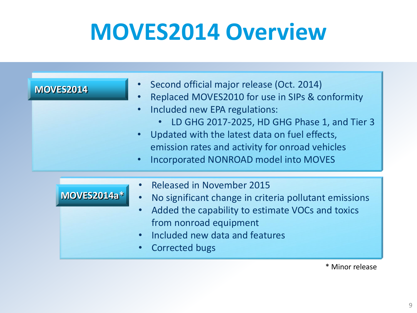#### **MOVES2014 Overview**

| <b>MOVES2014</b> | • Second official major release (Oct. 2014)<br>Replaced MOVES2010 for use in SIPs & conformity<br>$\bullet$<br>• Included new EPA regulations:<br>LD GHG 2017-2025, HD GHG Phase 1, and Tier 3<br>$\bullet$<br>• Updated with the latest data on fuel effects,<br>emission rates and activity for onroad vehicles<br>• Incorporated NONROAD model into MOVES |
|------------------|--------------------------------------------------------------------------------------------------------------------------------------------------------------------------------------------------------------------------------------------------------------------------------------------------------------------------------------------------------------|
| MOVES2014a*      | <b>Released in November 2015</b><br>No significant change in criteria pollutant emissions<br>$\bullet$<br>Added the capability to estimate VOCs and toxics<br>$\bullet$<br>from nonroad equipment<br>Included new data and features<br>$\bullet$<br><b>Corrected bugs</b><br>$\bullet$                                                                       |

\* Minor release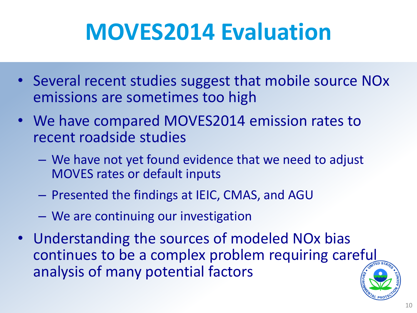## **MOVES2014 Evaluation**

- Several recent studies suggest that mobile source NOx emissions are sometimes too high
- We have compared MOVES2014 emission rates to recent roadside studies
	- We have not yet found evidence that we need to adjust MOVES rates or default inputs
	- Presented the findings at IEIC, CMAS, and AGU
	- We are continuing our investigation
- Understanding the sources of modeled NOx bias continues to be a complex problem requiring careful analysis of many potential factors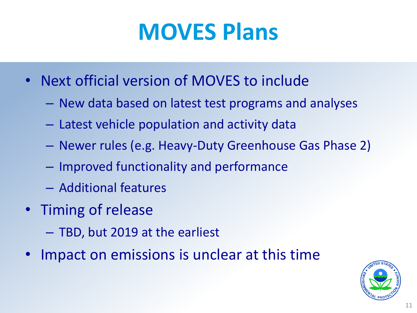#### **MOVES Plans**

- Next official version of MOVES to include
	- New data based on latest test programs and analyses
	- Latest vehicle population and activity data
	- Newer rules (e.g. Heavy-Duty Greenhouse Gas Phase 2)
	- Improved functionality and performance
	- Additional features
- Timing of release
	- TBD, but 2019 at the earliest
- Impact on emissions is unclear at this time

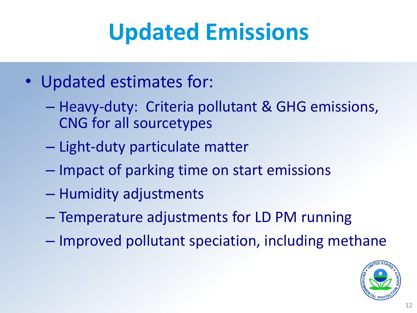## **Updated Emissions**

- Updated estimates for:
	- Heavy-duty: Criteria pollutant & GHG emissions, CNG for all sourcetypes
	- Light-duty particulate matter
	- Impact of parking time on start emissions
	- Humidity adjustments
	- Temperature adjustments for LD PM running
	- Improved pollutant speciation, including methane

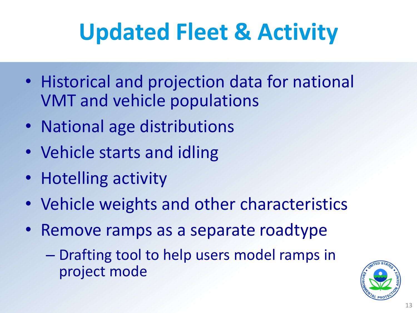## **Updated Fleet & Activity**

- Historical and projection data for national VMT and vehicle populations
- National age distributions
- Vehicle starts and idling
- Hotelling activity
- Vehicle weights and other characteristics
- Remove ramps as a separate roadtype
	- Drafting tool to help users model ramps in project mode

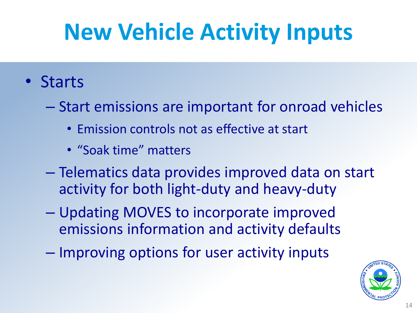## **New Vehicle Activity Inputs**

- Starts
	- Start emissions are important for onroad vehicles
		- Emission controls not as effective at start
		- "Soak time" matters
	- Telematics data provides improved data on start activity for both light-duty and heavy-duty
	- Updating MOVES to incorporate improved emissions information and activity defaults
	- Improving options for user activity inputs

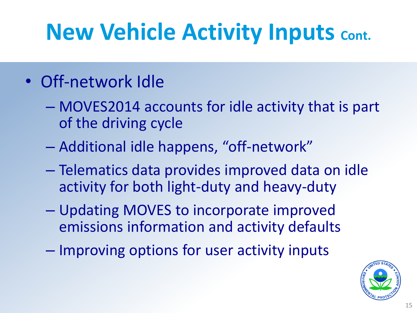## **New Vehicle Activity Inputs Cont.**

#### • Off-network Idle

- MOVES2014 accounts for idle activity that is part of the driving cycle
- Additional idle happens, "off-network"
- Telematics data provides improved data on idle activity for both light-duty and heavy-duty
- Updating MOVES to incorporate improved emissions information and activity defaults
- Improving options for user activity inputs

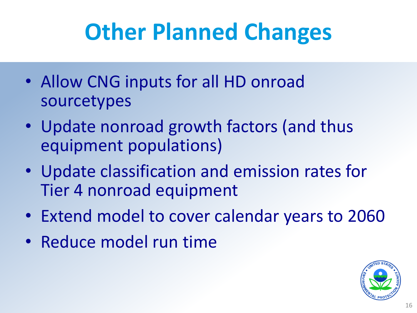## **Other Planned Changes**

- Allow CNG inputs for all HD onroad sourcetypes
- Update nonroad growth factors (and thus equipment populations)
- Update classification and emission rates for Tier 4 nonroad equipment
- Extend model to cover calendar years to 2060
- Reduce model run time

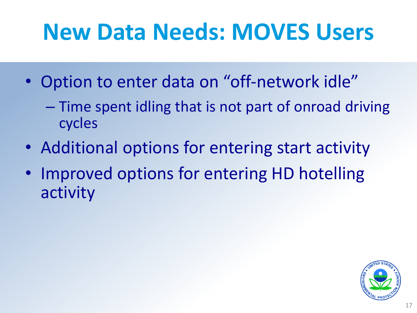## **New Data Needs: MOVES Users**

- Option to enter data on "off-network idle"
	- Time spent idling that is not part of onroad driving cycles
- Additional options for entering start activity
- Improved options for entering HD hotelling activity

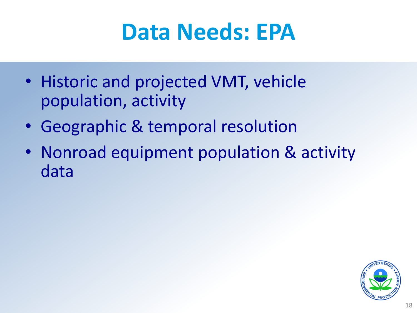#### **Data Needs: EPA**

- Historic and projected VMT, vehicle population, activity
- Geographic & temporal resolution
- Nonroad equipment population & activity data